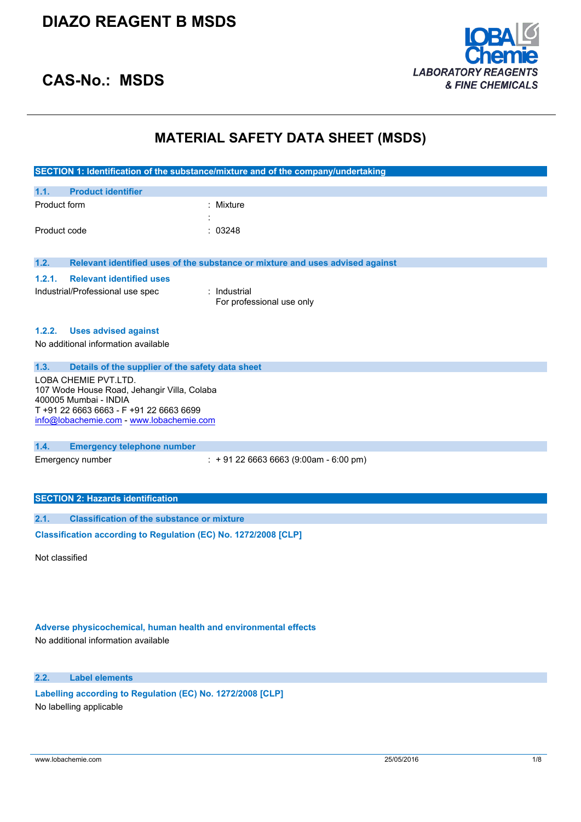

# **CAS-No.: MSDS**

# **MATERIAL SAFETY DATA SHEET (MSDS)**

|              |                                                                  | SECTION 1: Identification of the substance/mixture and of the company/undertaking |
|--------------|------------------------------------------------------------------|-----------------------------------------------------------------------------------|
|              |                                                                  |                                                                                   |
| 1.1.         | <b>Product identifier</b>                                        |                                                                                   |
| Product form |                                                                  | : Mixture                                                                         |
|              |                                                                  |                                                                                   |
| Product code |                                                                  | : 03248                                                                           |
|              |                                                                  |                                                                                   |
| 1.2.         |                                                                  | Relevant identified uses of the substance or mixture and uses advised against     |
| 1.2.1.       | <b>Relevant identified uses</b>                                  |                                                                                   |
|              | Industrial/Professional use spec                                 | : Industrial                                                                      |
|              |                                                                  | For professional use only                                                         |
|              |                                                                  |                                                                                   |
| 1.2.2.       | <b>Uses advised against</b>                                      |                                                                                   |
|              | No additional information available                              |                                                                                   |
|              |                                                                  |                                                                                   |
| 1.3.         | Details of the supplier of the safety data sheet                 |                                                                                   |
|              | LOBA CHEMIE PVT.LTD.                                             |                                                                                   |
|              | 107 Wode House Road, Jehangir Villa, Colaba                      |                                                                                   |
|              | 400005 Mumbai - INDIA<br>T +91 22 6663 6663 - F +91 22 6663 6699 |                                                                                   |
|              | info@lobachemie.com - www.lobachemie.com                         |                                                                                   |
|              |                                                                  |                                                                                   |
| 1.4.         | <b>Emergency telephone number</b>                                |                                                                                   |
|              | Emergency number                                                 | $\div$ + 91 22 6663 6663 (9:00am - 6:00 pm)                                       |
|              |                                                                  |                                                                                   |
|              |                                                                  |                                                                                   |
|              | <b>SECTION 2: Hazards identification</b>                         |                                                                                   |
|              |                                                                  |                                                                                   |
| 2.1.         | <b>Classification of the substance or mixture</b>                |                                                                                   |
|              | Classification according to Regulation (EC) No. 1272/2008 [CLP]  |                                                                                   |
|              |                                                                  |                                                                                   |

Not classified

# **Adverse physicochemical, human health and environmental effects**

No additional information available

### **2.2. Label elements**

**Labelling according to** Regulation (EC) No. 1272/2008 [CLP] No labelling applicable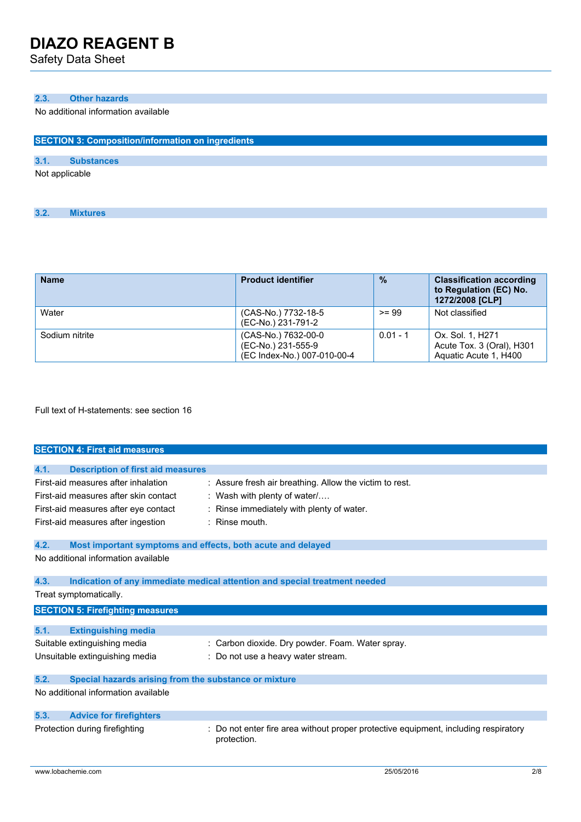Safety Data Sheet

### **2.3. Other hazards**

No additional information available

| <b>SECTION 3: Composition/information on ingredients</b> |                   |  |  |
|----------------------------------------------------------|-------------------|--|--|
|                                                          |                   |  |  |
| 3.1.                                                     | <b>Substances</b> |  |  |
| Not applicable                                           |                   |  |  |

| 3.2. | <b>Mixtures</b> |  |
|------|-----------------|--|

| <b>Name</b>    | <b>Product identifier</b>                                                | $\frac{0}{2}$ | <b>Classification according</b><br>to Regulation (EC) No.<br>1272/2008 [CLP] |
|----------------|--------------------------------------------------------------------------|---------------|------------------------------------------------------------------------------|
| Water          | (CAS-No.) 7732-18-5<br>(EC-No.) 231-791-2                                | $>= 99$       | Not classified                                                               |
| Sodium nitrite | (CAS-No.) 7632-00-0<br>(EC-No.) 231-555-9<br>(EC Index-No.) 007-010-00-4 | $0.01 - 1$    | Ox. Sol. 1, H271<br>Acute Tox. 3 (Oral), H301<br>Aquatic Acute 1, H400       |

Full text of H-statements: see section 16

|      | <b>SECTION 4: First aid measures</b>                                                                                                                       |                                                                                                                                                             |
|------|------------------------------------------------------------------------------------------------------------------------------------------------------------|-------------------------------------------------------------------------------------------------------------------------------------------------------------|
|      |                                                                                                                                                            |                                                                                                                                                             |
| 4.1. | <b>Description of first aid measures</b>                                                                                                                   |                                                                                                                                                             |
|      | First-aid measures after inhalation<br>First-aid measures after skin contact<br>First-aid measures after eye contact<br>First-aid measures after ingestion | : Assure fresh air breathing. Allow the victim to rest.<br>: Wash with plenty of water $/$<br>: Rinse immediately with plenty of water.<br>$:$ Rinse mouth. |
| 4.2. |                                                                                                                                                            | Most important symptoms and effects, both acute and delayed                                                                                                 |
|      | No additional information available                                                                                                                        |                                                                                                                                                             |
| 4.3. |                                                                                                                                                            | Indication of any immediate medical attention and special treatment needed                                                                                  |
|      | Treat symptomatically.                                                                                                                                     |                                                                                                                                                             |
|      | <b>SECTION 5: Firefighting measures</b>                                                                                                                    |                                                                                                                                                             |
|      |                                                                                                                                                            |                                                                                                                                                             |
| 5.1. | <b>Extinguishing media</b>                                                                                                                                 |                                                                                                                                                             |
|      | Suitable extinguishing media                                                                                                                               | : Carbon dioxide. Dry powder. Foam. Water spray.                                                                                                            |
|      | Unsuitable extinguishing media                                                                                                                             | : Do not use a heavy water stream.                                                                                                                          |
| 5.2. | Special hazards arising from the substance or mixture                                                                                                      |                                                                                                                                                             |
|      | No additional information available                                                                                                                        |                                                                                                                                                             |
| 5.3. | <b>Advice for firefighters</b>                                                                                                                             |                                                                                                                                                             |
|      | Protection during firefighting                                                                                                                             | Do not enter fire area without proper protective equipment, including respiratory<br>protection.                                                            |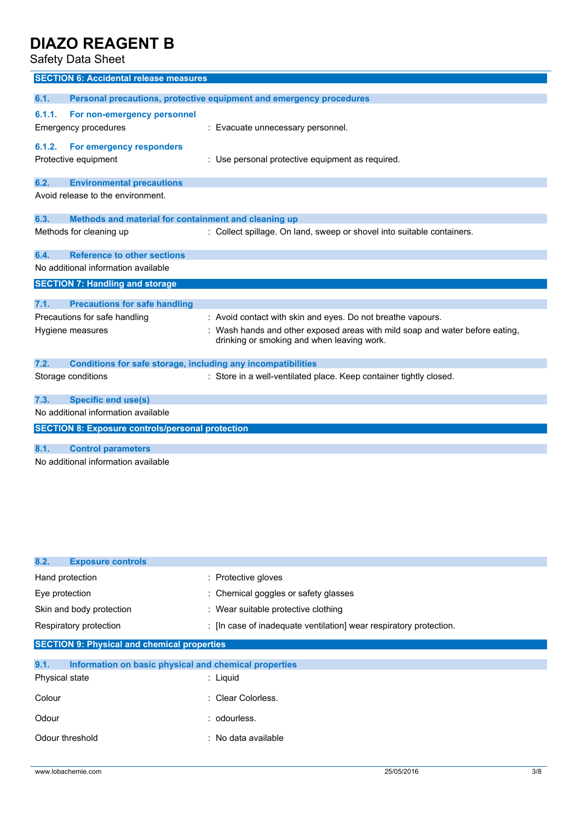Safety Data Sheet

|        | <b>SECTION 6: Accidental release measures</b>                       |                                                                                                                            |  |  |
|--------|---------------------------------------------------------------------|----------------------------------------------------------------------------------------------------------------------------|--|--|
|        |                                                                     |                                                                                                                            |  |  |
| 6.1.   |                                                                     | Personal precautions, protective equipment and emergency procedures                                                        |  |  |
| 6.1.1. | For non-emergency personnel                                         |                                                                                                                            |  |  |
|        | Emergency procedures                                                | : Evacuate unnecessary personnel.                                                                                          |  |  |
| 6.1.2. | For emergency responders                                            |                                                                                                                            |  |  |
|        | Protective equipment                                                | : Use personal protective equipment as required.                                                                           |  |  |
|        |                                                                     |                                                                                                                            |  |  |
| 6.2.   | <b>Environmental precautions</b>                                    |                                                                                                                            |  |  |
|        | Avoid release to the environment.                                   |                                                                                                                            |  |  |
|        |                                                                     |                                                                                                                            |  |  |
| 6.3.   | Methods and material for containment and cleaning up                |                                                                                                                            |  |  |
|        | Methods for cleaning up                                             | : Collect spillage. On land, sweep or shovel into suitable containers.                                                     |  |  |
| 6.4.   | <b>Reference to other sections</b>                                  |                                                                                                                            |  |  |
|        | No additional information available                                 |                                                                                                                            |  |  |
|        | <b>SECTION 7: Handling and storage</b>                              |                                                                                                                            |  |  |
|        |                                                                     |                                                                                                                            |  |  |
| 7.1.   | <b>Precautions for safe handling</b>                                |                                                                                                                            |  |  |
|        | Precautions for safe handling                                       | : Avoid contact with skin and eyes. Do not breathe vapours.                                                                |  |  |
|        | Hygiene measures                                                    | : Wash hands and other exposed areas with mild soap and water before eating,<br>drinking or smoking and when leaving work. |  |  |
| 7.2.   | <b>Conditions for safe storage, including any incompatibilities</b> |                                                                                                                            |  |  |
|        | Storage conditions                                                  | : Store in a well-ventilated place. Keep container tightly closed.                                                         |  |  |
| 7.3.   | <b>Specific end use(s)</b>                                          |                                                                                                                            |  |  |
|        | No additional information available                                 |                                                                                                                            |  |  |
|        | <b>SECTION 8: Exposure controls/personal protection</b>             |                                                                                                                            |  |  |
| 8.1.   |                                                                     |                                                                                                                            |  |  |
|        | <b>Control parameters</b>                                           |                                                                                                                            |  |  |
|        | No additional information available                                 |                                                                                                                            |  |  |

| 8.2.<br><b>Exposure controls</b>                              |                                                                    |  |  |
|---------------------------------------------------------------|--------------------------------------------------------------------|--|--|
| Hand protection                                               | : Protective gloves                                                |  |  |
| Eye protection                                                | : Chemical goggles or safety glasses                               |  |  |
| Skin and body protection                                      | : Wear suitable protective clothing                                |  |  |
| Respiratory protection                                        | : [In case of inadequate ventilation] wear respiratory protection. |  |  |
| <b>SECTION 9: Physical and chemical properties</b>            |                                                                    |  |  |
| 9.1.<br>Information on basic physical and chemical properties |                                                                    |  |  |
| Physical state                                                | $:$ Liquid                                                         |  |  |
| Colour                                                        | : Clear Colorless.                                                 |  |  |
| Odour                                                         | : odourless.                                                       |  |  |
| Odour threshold                                               | : No data available                                                |  |  |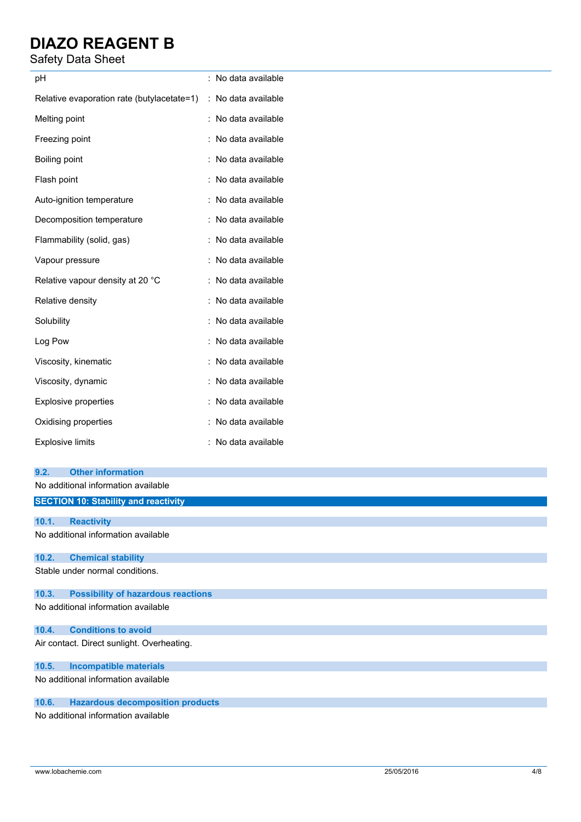# Safety Data Sheet

| pH                                                             | : No data available |
|----------------------------------------------------------------|---------------------|
| Relative evaporation rate (butylacetate=1) : No data available |                     |
| Melting point                                                  | : No data available |
| Freezing point                                                 | No data available   |
| Boiling point                                                  | No data available   |
| Flash point                                                    | No data available   |
| Auto-ignition temperature                                      | No data available   |
| Decomposition temperature                                      | : No data available |
| Flammability (solid, gas)                                      | : No data available |
| Vapour pressure                                                | : No data available |
| Relative vapour density at 20 °C                               | : No data available |
| Relative density                                               | : No data available |
| Solubility                                                     | No data available   |
| Log Pow                                                        | : No data available |
| Viscosity, kinematic                                           | No data available   |
| Viscosity, dynamic                                             | : No data available |
| Explosive properties                                           | No data available   |
| Oxidising properties                                           | No data available   |
| <b>Explosive limits</b>                                        | No data available   |
| <b>Other information</b><br>9.2.                               |                     |
| No additional information available                            |                     |
| <b>SECTION 10: Stability and reactivity</b>                    |                     |
| 10.1.<br><b>Reactivity</b>                                     |                     |
| No additional information available                            |                     |
| <b>Chemical stability</b><br>10.2.                             |                     |
| Stable under normal conditions.                                |                     |

# **10.3. Possibility of hazardous reactions**

No additional information available

# **10.4. Conditions to avoid**

Air contact. Direct sunlight. Overheating.

### **10.5. Incompatible materials**

No additional information available

### **10.6. Hazardous decomposition products**

No additional information available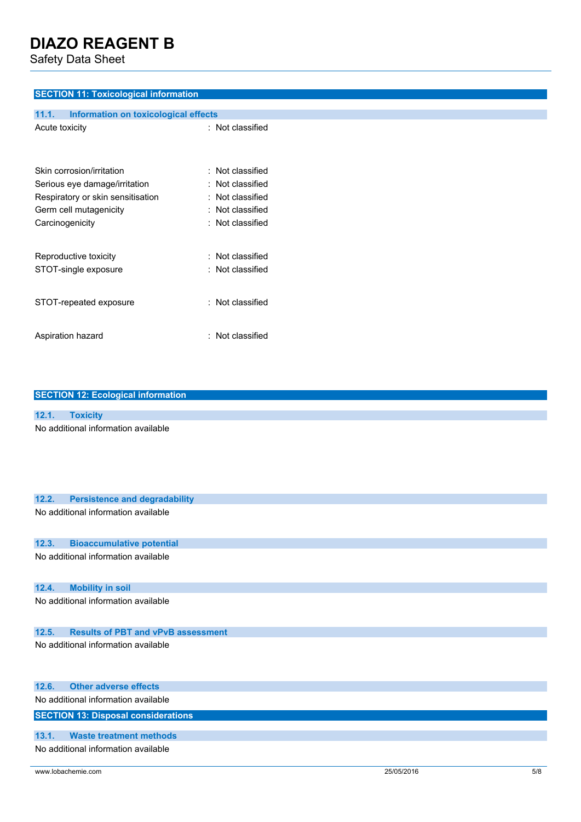Safety Data Sheet

### **SECTION 11: Toxicological information**

| 11.1.          | Information on toxicological effects |                  |
|----------------|--------------------------------------|------------------|
| Acute toxicity |                                      | : Not classified |
|                | Skin corrosion/irritation            | : Not classified |
|                | Serious eye damage/irritation        | : Not classified |
|                | Respiratory or skin sensitisation    | : Not classified |
|                | Germ cell mutagenicity               | : Not classified |
|                | Carcinogenicity                      | : Not classified |
|                | Reproductive toxicity                | : Not classified |
|                | STOT-single exposure                 | : Not classified |
|                | STOT-repeated exposure               | : Not classified |
|                | Aspiration hazard                    | : Not classified |

| <b>SECTION 12: Ecological information</b>     |
|-----------------------------------------------|
|                                               |
| 12.1.<br><b>Toxicity</b>                      |
| No additional information available           |
| <b>Persistence and degradability</b><br>12.2. |
| No additional information available           |
| 12.3.<br><b>Bioaccumulative potential</b>     |
| No additional information available           |
| 12.4.<br><b>Mobility in soil</b>              |
| No additional information available           |

# **12.5. Results of PBT and vPvB assessment**

No additional information available

| 12.6. Other adverse effects                |
|--------------------------------------------|
| No additional information available        |
| <b>SECTION 13: Disposal considerations</b> |
|                                            |
| 13.1. Waste treatment methods              |
| No additional information available        |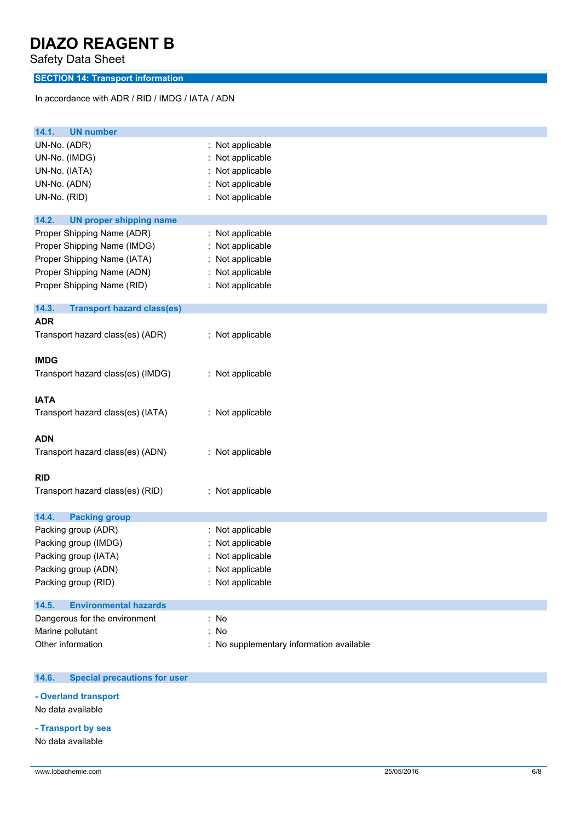Safety Data Sheet

# **SECTION 14: Transport information**

In accordance with ADR / RID / IMDG / IATA / ADN

| <b>UN number</b><br>14.1.                   |                                        |
|---------------------------------------------|----------------------------------------|
| UN-No. (ADR)                                | : Not applicable                       |
| UN-No. (IMDG)                               | Not applicable                         |
| UN-No. (IATA)                               | Not applicable                         |
| UN-No. (ADN)                                | Not applicable                         |
| UN-No. (RID)                                | Not applicable                         |
| 14.2.<br><b>UN proper shipping name</b>     |                                        |
| Proper Shipping Name (ADR)                  | : Not applicable                       |
| Proper Shipping Name (IMDG)                 | Not applicable                         |
| Proper Shipping Name (IATA)                 | Not applicable                         |
| Proper Shipping Name (ADN)                  | Not applicable                         |
| Proper Shipping Name (RID)                  | : Not applicable                       |
| 14.3.<br><b>Transport hazard class(es)</b>  |                                        |
| <b>ADR</b>                                  |                                        |
| Transport hazard class(es) (ADR)            | : Not applicable                       |
| <b>IMDG</b>                                 |                                        |
| Transport hazard class(es) (IMDG)           | : Not applicable                       |
| <b>IATA</b>                                 |                                        |
| Transport hazard class(es) (IATA)           | : Not applicable                       |
| <b>ADN</b>                                  |                                        |
| Transport hazard class(es) (ADN)            | : Not applicable                       |
| <b>RID</b>                                  |                                        |
| Transport hazard class(es) (RID)            | : Not applicable                       |
| <b>Packing group</b><br>14.4.               |                                        |
| Packing group (ADR)                         | : Not applicable                       |
| Packing group (IMDG)                        | Not applicable                         |
|                                             |                                        |
| Packing group (IATA)<br>Packing group (ADN) | Not applicable<br>Not applicable       |
| Packing group (RID)                         | : Not applicable                       |
| 14.5.<br><b>Environmental hazards</b>       |                                        |
| Dangerous for the environment               | $:$ No                                 |
| Marine pollutant                            | : No                                   |
| Other information                           | No supplementary information available |

#### $14.6.$ **14.6. Special precautions for user**

**- Overland transport**

No data available

**- Transport by sea**

No data available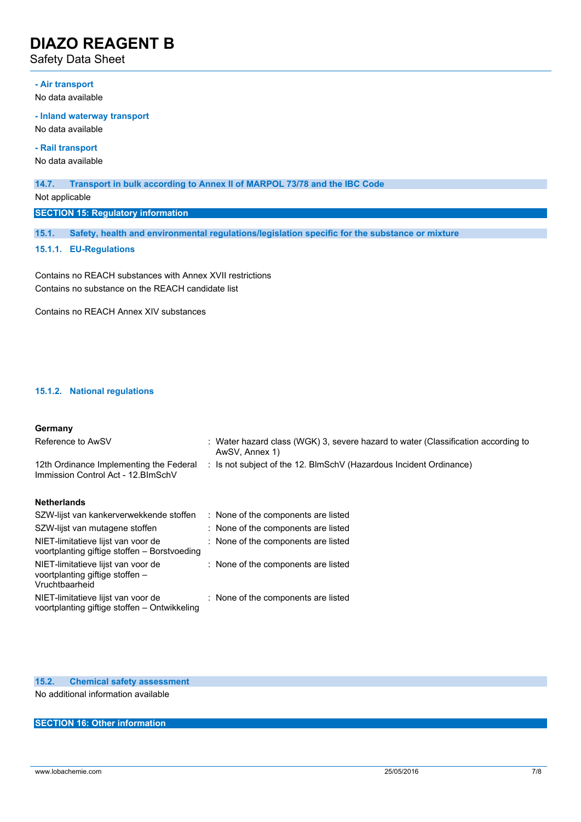Safety Data Sheet

#### **- Air transport**

No data available

#### **- Inland waterway transport**

No data available

**- Rail transport**

No data available

#### **14.7. Transport in bulk according to Annex II of MARPOL 73/78 and the IBC Code**

Not applicable

**SECTION 15: Regulatory information**

**15.1. Safety, health and environmental regulations/legislation specific for the substance or mixture**

#### **15.1.1. EU-Regulations**

Contains no REACH substances with Annex XVII restrictions Contains no substance on the REACH candidate list

Contains no REACH Annex XIV substances

### **15.1.2. National regulations**

#### **Germany**

| Reference to AwSV                                                                       | : Water hazard class (WGK) 3, severe hazard to water (Classification according to<br>AwSV, Annex 1) |
|-----------------------------------------------------------------------------------------|-----------------------------------------------------------------------------------------------------|
| 12th Ordinance Implementing the Federal<br>Immission Control Act - 12. BlmSchV          | : Is not subject of the 12. BlmSchV (Hazardous Incident Ordinance)                                  |
| <b>Netherlands</b>                                                                      |                                                                                                     |
| SZW-lijst van kankerverwekkende stoffen                                                 | : None of the components are listed                                                                 |
| SZW-lijst van mutagene stoffen                                                          | : None of the components are listed                                                                 |
| NIET-limitatieve lijst van voor de<br>voortplanting giftige stoffen - Borstvoeding      | : None of the components are listed                                                                 |
| NIET-limitatieve lijst van voor de<br>voortplanting giftige stoffen -<br>Vruchtbaarheid | : None of the components are listed                                                                 |
| NIET-limitatieve lijst van voor de<br>voortplanting giftige stoffen - Ontwikkeling      | : None of the components are listed                                                                 |

### **15.2. Chemical safety assessment**

No additional information available

### **SECTION 16: Other information**